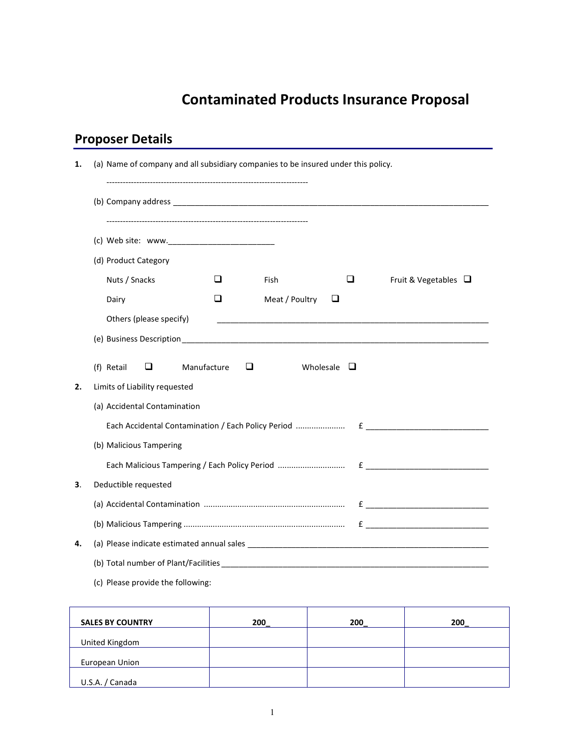## Contaminated Products Insurance Proposal

## Proposer Details

| 1. | (a) Name of company and all subsidiary companies to be insured under this policy.                                                                                                                                                                                   |
|----|---------------------------------------------------------------------------------------------------------------------------------------------------------------------------------------------------------------------------------------------------------------------|
|    |                                                                                                                                                                                                                                                                     |
|    |                                                                                                                                                                                                                                                                     |
|    | (d) Product Category                                                                                                                                                                                                                                                |
|    | Nuts / Snacks<br>$\Box$<br>□<br>Fish<br>Fruit & Vegetables $\Box$                                                                                                                                                                                                   |
|    | □<br>Meat / Poultry<br>Dairy<br>⊔                                                                                                                                                                                                                                   |
|    | Others (please specify)                                                                                                                                                                                                                                             |
|    |                                                                                                                                                                                                                                                                     |
|    |                                                                                                                                                                                                                                                                     |
|    | (f) Retail<br>□<br>Manufacture<br>□<br>Wholesale $\square$                                                                                                                                                                                                          |
| 2. | Limits of Liability requested                                                                                                                                                                                                                                       |
|    | (a) Accidental Contamination                                                                                                                                                                                                                                        |
|    |                                                                                                                                                                                                                                                                     |
|    | (b) Malicious Tampering                                                                                                                                                                                                                                             |
|    |                                                                                                                                                                                                                                                                     |
| З. | Deductible requested                                                                                                                                                                                                                                                |
|    |                                                                                                                                                                                                                                                                     |
|    |                                                                                                                                                                                                                                                                     |
| 4. |                                                                                                                                                                                                                                                                     |
|    |                                                                                                                                                                                                                                                                     |
|    |                                                                                                                                                                                                                                                                     |
|    | (b) Total number of Plant/Facilities (b) and the state of the state of the state of the state of the state of the state of the state of the state of the state of the state of the state of the state of the state of the stat<br>(c) Please provide the following: |

| <b>SALES BY COUNTRY</b> | 200 | 200 | 200 |
|-------------------------|-----|-----|-----|
|                         |     |     |     |
| United Kingdom          |     |     |     |
| European Union          |     |     |     |
| U.S.A. / Canada         |     |     |     |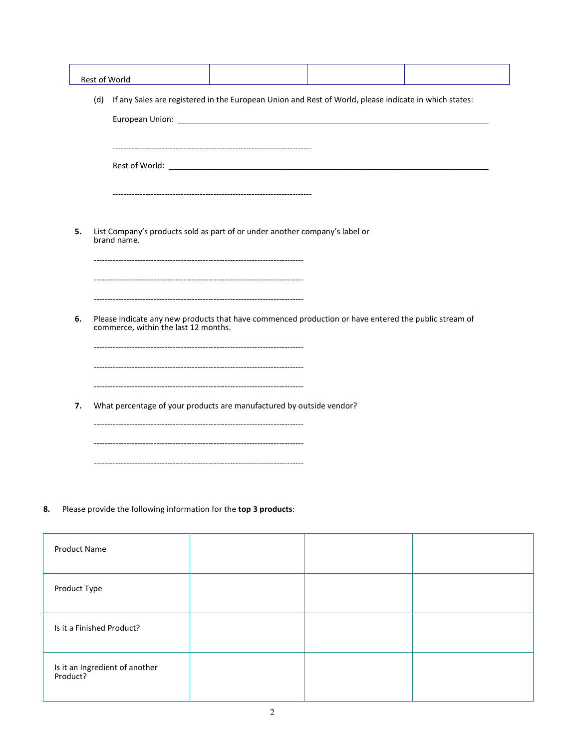| (d) | If any Sales are registered in the European Union and Rest of World, please indicate in which states:                                        |
|-----|----------------------------------------------------------------------------------------------------------------------------------------------|
|     |                                                                                                                                              |
| 5.  | List Company's products sold as part of or under another company's label or<br>brand name.                                                   |
| 6.  | Please indicate any new products that have commenced production or have entered the public stream of<br>commerce, within the last 12 months. |
|     |                                                                                                                                              |

8. Please provide the following information for the top 3 products:

| <b>Product Name</b>                        |  |  |
|--------------------------------------------|--|--|
| Product Type                               |  |  |
| Is it a Finished Product?                  |  |  |
| Is it an Ingredient of another<br>Product? |  |  |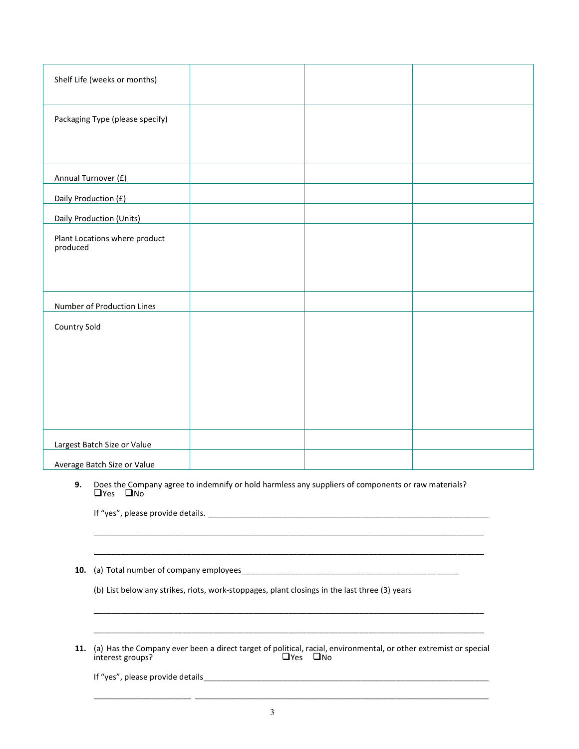| Shelf Life (weeks or months)              |  |  |
|-------------------------------------------|--|--|
| Packaging Type (please specify)           |  |  |
|                                           |  |  |
| Annual Turnover (£)                       |  |  |
| Daily Production (£)                      |  |  |
| Daily Production (Units)                  |  |  |
| Plant Locations where product<br>produced |  |  |
|                                           |  |  |
| Number of Production Lines                |  |  |
| Country Sold                              |  |  |
|                                           |  |  |
|                                           |  |  |
|                                           |  |  |
|                                           |  |  |
|                                           |  |  |
| Largest Batch Size or Value               |  |  |
| Average Batch Size or Value               |  |  |

**9.** Does the Company agree to indemnify or hold harmless any suppliers of components or raw materials?<br>  $\Box$  Yes  $\Box$  No

\_\_\_\_\_\_\_\_\_\_\_\_\_\_\_\_\_\_\_\_\_\_\_\_\_\_\_\_\_\_\_\_\_\_\_\_\_\_\_\_\_\_\_\_\_\_\_\_\_\_\_\_\_\_\_\_\_\_\_\_\_\_\_\_\_\_\_\_\_\_\_\_\_\_\_\_\_\_\_\_\_\_\_\_\_\_\_\_

\_\_\_\_\_\_\_\_\_\_\_\_\_\_\_\_\_\_\_\_\_\_\_\_\_\_\_\_\_\_\_\_\_\_\_\_\_\_\_\_\_\_\_\_\_\_\_\_\_\_\_\_\_\_\_\_\_\_\_\_\_\_\_\_\_\_\_\_\_\_\_\_\_\_\_\_\_\_\_\_\_\_\_\_\_\_\_\_

If "yes", please provide details. \_\_\_\_\_\_\_\_\_\_\_\_\_\_\_\_\_\_\_\_\_\_\_\_\_\_\_\_\_\_\_\_\_\_\_\_\_\_\_\_\_\_\_\_\_\_\_\_\_\_\_\_\_\_\_\_\_\_\_\_\_\_\_\_

10. (a) Total number of company employees\_\_\_\_\_\_\_\_\_\_\_\_\_\_\_\_\_\_\_\_\_\_\_\_\_\_\_\_\_\_\_\_\_\_\_\_\_\_\_\_\_\_\_\_\_\_\_\_\_

(b) List below any strikes, riots, work-stoppages, plant closings in the last three (3) years

11. (a) Has the Company ever been a direct target of political, racial, environmental, or other extremist or special interest groups? interest groups?

\_\_\_\_\_\_\_\_\_\_\_\_\_\_\_\_\_\_\_\_\_\_ \_\_\_\_\_\_\_\_\_\_\_\_\_\_\_\_\_\_\_\_\_\_\_\_\_\_\_\_\_\_\_\_\_\_\_\_\_\_\_\_\_\_\_\_\_\_\_\_\_\_\_\_\_\_\_\_\_\_\_\_\_\_\_\_\_\_\_

 $\mathcal{L}_\text{max}$  , and the set of the set of the set of the set of the set of the set of the set of the set of the set of the set of the set of the set of the set of the set of the set of the set of the set of the set of the

 $\mathcal{L}_\text{max}$  , and the contribution of the contribution of the contribution of the contribution of the contribution of the contribution of the contribution of the contribution of the contribution of the contribution of t

If "yes", please provide details \_\_\_\_\_\_\_\_\_\_\_\_\_\_\_\_\_\_\_\_\_\_\_\_\_\_\_\_\_\_\_\_\_\_\_\_\_\_\_\_\_\_\_\_\_\_\_\_\_\_\_\_\_\_\_\_\_\_\_\_\_\_\_\_\_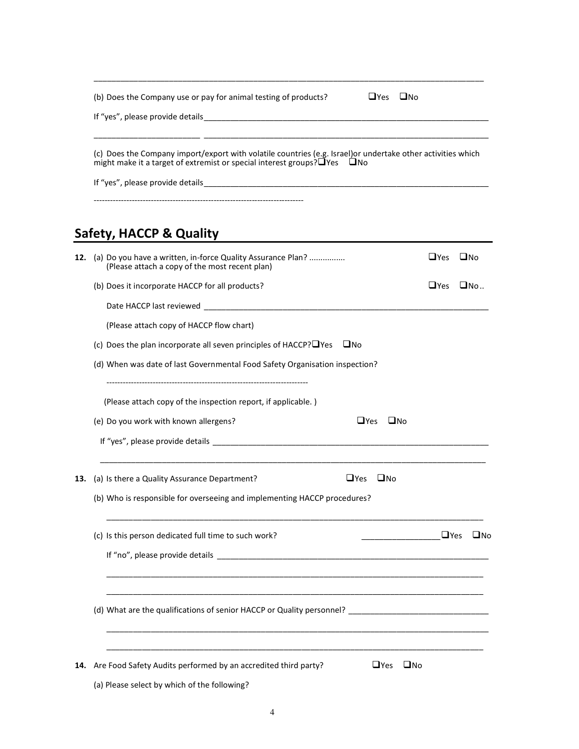|     | $\sqcup$ Yes<br><b>LI</b> No<br>(b) Does the Company use or pay for animal testing of products? |                                                                                                                                                                                                      |              |              |  |  |  |  |  |
|-----|-------------------------------------------------------------------------------------------------|------------------------------------------------------------------------------------------------------------------------------------------------------------------------------------------------------|--------------|--------------|--|--|--|--|--|
|     |                                                                                                 | (c) Does the Company import/export with volatile countries (e.g. Israel) or undertake other activities which<br>might make it a target of extremist or special interest groups? $\Box$ Yes $\Box$ No |              |              |  |  |  |  |  |
|     |                                                                                                 |                                                                                                                                                                                                      |              |              |  |  |  |  |  |
|     |                                                                                                 | Safety, HACCP & Quality                                                                                                                                                                              |              |              |  |  |  |  |  |
| 12. |                                                                                                 | (a) Do you have a written, in-force Quality Assurance Plan?<br>(Please attach a copy of the most recent plan)                                                                                        | $\sqcup$ Yes | <b>UNo</b>   |  |  |  |  |  |
|     |                                                                                                 | (b) Does it incorporate HACCP for all products?                                                                                                                                                      | $\Box$ Yes   | $\Box$ No    |  |  |  |  |  |
|     |                                                                                                 |                                                                                                                                                                                                      |              |              |  |  |  |  |  |
|     |                                                                                                 | (Please attach copy of HACCP flow chart)                                                                                                                                                             |              |              |  |  |  |  |  |
|     | (c) Does the plan incorporate all seven principles of HACCP? $\Box$ Yes $\Box$ No               |                                                                                                                                                                                                      |              |              |  |  |  |  |  |
|     |                                                                                                 | (d) When was date of last Governmental Food Safety Organisation inspection?                                                                                                                          |              |              |  |  |  |  |  |
|     | (Please attach copy of the inspection report, if applicable.)                                   |                                                                                                                                                                                                      |              |              |  |  |  |  |  |
|     |                                                                                                 | (e) Do you work with known allergens?<br>$\sqcup$ Yes<br>∟No                                                                                                                                         |              |              |  |  |  |  |  |
|     |                                                                                                 |                                                                                                                                                                                                      |              |              |  |  |  |  |  |
| 13. |                                                                                                 | (a) Is there a Quality Assurance Department?<br>$\Box$ Yes $\Box$ No                                                                                                                                 |              |              |  |  |  |  |  |
|     |                                                                                                 | (b) Who is responsible for overseeing and implementing HACCP procedures?                                                                                                                             |              |              |  |  |  |  |  |
|     |                                                                                                 | (c) Is this person dedicated full time to such work?                                                                                                                                                 | $\Box$ Yes   | $\square$ No |  |  |  |  |  |
|     |                                                                                                 |                                                                                                                                                                                                      |              |              |  |  |  |  |  |
|     |                                                                                                 |                                                                                                                                                                                                      |              |              |  |  |  |  |  |
| 14. |                                                                                                 | Are Food Safety Audits performed by an accredited third party?<br>$\Box$ Yes<br>$\square$ No<br>(a) Please select by which of the following?                                                         |              |              |  |  |  |  |  |

\_\_\_\_\_\_\_\_\_\_\_\_\_\_\_\_\_\_\_\_\_\_\_\_\_\_\_\_\_\_\_\_\_\_\_\_\_\_\_\_\_\_\_\_\_\_\_\_\_\_\_\_\_\_\_\_\_\_\_\_\_\_\_\_\_\_\_\_\_\_\_\_\_\_\_\_\_\_\_\_\_\_\_\_\_\_\_\_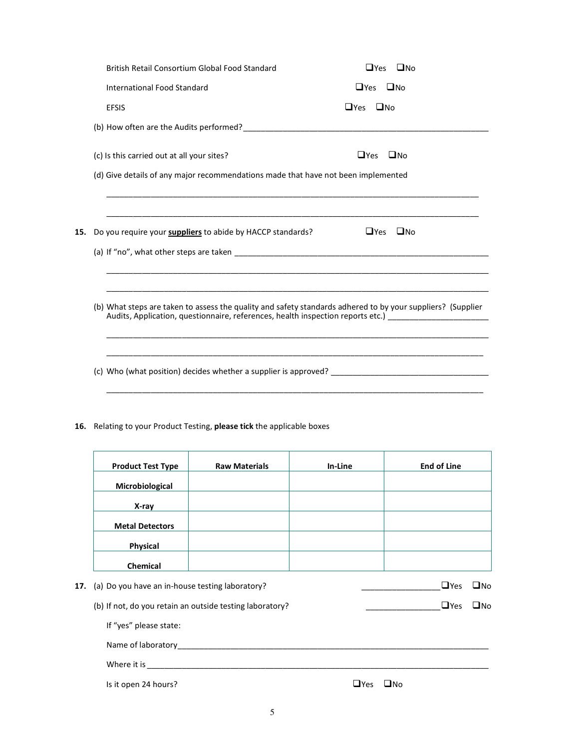| British Retail Consortium Global Food Standard                                                              | $\Box$ Yes $\Box$ No                                                                                |
|-------------------------------------------------------------------------------------------------------------|-----------------------------------------------------------------------------------------------------|
| International Food Standard                                                                                 | $\Box$ Yes $\Box$ No                                                                                |
| <b>EFSIS</b>                                                                                                | $\Box$ Yes $\Box$ No                                                                                |
|                                                                                                             |                                                                                                     |
| (c) Is this carried out at all your sites?                                                                  | $\Box$ Yes<br>⊟No                                                                                   |
| (d) Give details of any major recommendations made that have not been implemented                           |                                                                                                     |
|                                                                                                             |                                                                                                     |
| 15. Do you require your <b>suppliers</b> to abide by HACCP standards?                                       | $\Box$ Yes $\Box$ No                                                                                |
|                                                                                                             |                                                                                                     |
|                                                                                                             |                                                                                                     |
| (b) What steps are taken to assess the quality and safety standards adhered to by your suppliers? (Supplier | Audits, Application, questionnaire, references, health inspection reports etc.) [100]               |
|                                                                                                             | (c) Who (what position) decides whether a supplier is approved? ___________________________________ |
|                                                                                                             |                                                                                                     |

16. Relating to your Product Testing, please tick the applicable boxes

|     | <b>Product Test Type</b>                        | <b>Raw Materials</b>                                     | In-Line | <b>End of Line</b> |              |
|-----|-------------------------------------------------|----------------------------------------------------------|---------|--------------------|--------------|
|     | Microbiological                                 |                                                          |         |                    |              |
|     | X-ray                                           |                                                          |         |                    |              |
|     | <b>Metal Detectors</b>                          |                                                          |         |                    |              |
|     | Physical                                        |                                                          |         |                    |              |
|     | <b>Chemical</b>                                 |                                                          |         |                    |              |
| 17. | (a) Do you have an in-house testing laboratory? |                                                          |         | $\Box$ Yes         | $\square$ No |
|     |                                                 | (b) If not, do you retain an outside testing laboratory? |         | $\Box$ Yes         | $\square$ No |
|     | If "yes" please state:                          |                                                          |         |                    |              |
|     | Name of laboratory                              |                                                          |         |                    |              |
|     |                                                 |                                                          |         |                    |              |

Where it is \_\_\_\_\_\_\_\_\_\_\_\_\_\_\_\_\_\_\_\_\_\_\_\_\_\_\_\_\_\_\_\_\_\_\_\_\_\_\_\_\_\_\_\_\_\_\_\_\_\_\_\_\_\_\_\_\_\_\_\_\_\_\_\_\_\_\_\_\_\_\_\_\_\_\_\_\_\_

Is it open 24 hours?  $\Box$  Yes  $\Box$  No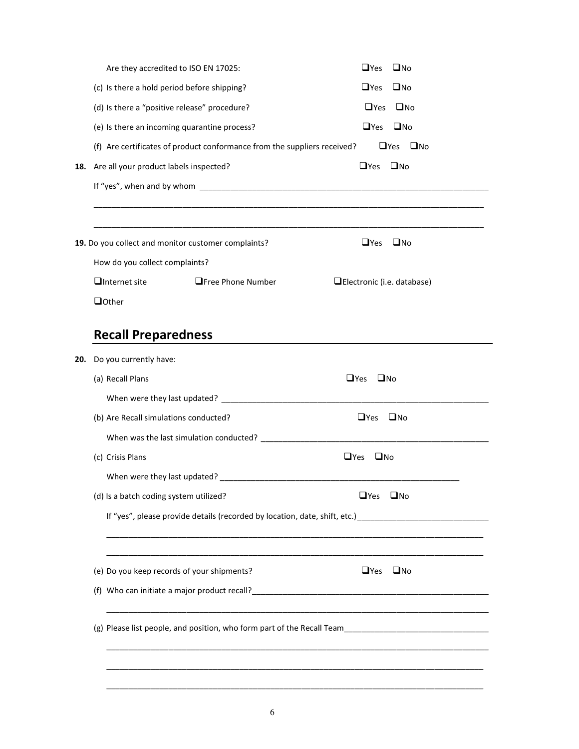|     | Are they accredited to ISO EN 17025:                 |                                                                          | $\Box$ Yes<br>$\square$ No                                                                                     |  |
|-----|------------------------------------------------------|--------------------------------------------------------------------------|----------------------------------------------------------------------------------------------------------------|--|
|     | (c) Is there a hold period before shipping?          |                                                                          | $\Box$ Yes<br>$\square$ No                                                                                     |  |
|     |                                                      | (d) Is there a "positive release" procedure?                             | $\Box$ Yes<br>$\square$ No                                                                                     |  |
|     |                                                      | (e) Is there an incoming quarantine process?                             | $\Box$ Yes<br>$\square$ No                                                                                     |  |
|     |                                                      | (f) Are certificates of product conformance from the suppliers received? | $\Box$ Yes $\Box$ No                                                                                           |  |
| 18. | Are all your product labels inspected?               |                                                                          | $\Box$ Yes $\Box$ No                                                                                           |  |
|     |                                                      |                                                                          |                                                                                                                |  |
|     |                                                      | 19. Do you collect and monitor customer complaints?                      | $\Box$ Yes<br>$\square$ No                                                                                     |  |
|     | How do you collect complaints?                       |                                                                          |                                                                                                                |  |
|     | $\Box$ Internet site                                 | <b>OFree Phone Number</b>                                                | Electronic (i.e. database)                                                                                     |  |
|     | <b>Q</b> Other                                       |                                                                          |                                                                                                                |  |
| 20. | <b>Recall Preparedness</b><br>Do you currently have: |                                                                          |                                                                                                                |  |
|     | (a) Recall Plans                                     |                                                                          | $\Box$ Yes<br>$\square$ No                                                                                     |  |
|     |                                                      |                                                                          |                                                                                                                |  |
|     |                                                      |                                                                          | $\Box$ Yes $\Box$ No                                                                                           |  |
|     |                                                      |                                                                          |                                                                                                                |  |
|     | (b) Are Recall simulations conducted?                |                                                                          |                                                                                                                |  |
|     |                                                      |                                                                          | $\square$ No<br>$\Box$ Yes                                                                                     |  |
|     | (c) Crisis Plans                                     |                                                                          |                                                                                                                |  |
|     | (d) Is a batch coding system utilized?               |                                                                          | $\Box$ Yes<br>$\square$ No                                                                                     |  |
|     |                                                      |                                                                          | If "yes", please provide details (recorded by location, date, shift, etc.) ___________________________________ |  |
|     |                                                      | (e) Do you keep records of your shipments?                               | $\Box$ Yes<br>$\square$ No                                                                                     |  |
|     |                                                      |                                                                          | (f) Who can initiate a major product recall?<br>$\frac{1}{2}$ who can initiate a major product recall?         |  |

 $\mathcal{L}_\mathcal{L} = \{ \mathcal{L}_\mathcal{L} = \{ \mathcal{L}_\mathcal{L} = \{ \mathcal{L}_\mathcal{L} = \{ \mathcal{L}_\mathcal{L} = \{ \mathcal{L}_\mathcal{L} = \{ \mathcal{L}_\mathcal{L} = \{ \mathcal{L}_\mathcal{L} = \{ \mathcal{L}_\mathcal{L} = \{ \mathcal{L}_\mathcal{L} = \{ \mathcal{L}_\mathcal{L} = \{ \mathcal{L}_\mathcal{L} = \{ \mathcal{L}_\mathcal{L} = \{ \mathcal{L}_\mathcal{L} = \{ \mathcal{L}_\mathcal{$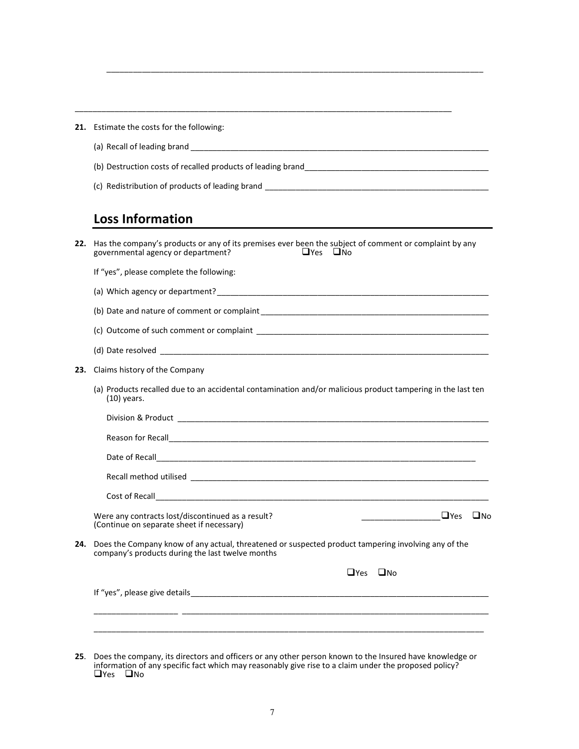| 21. | Estimate the costs for the following:                                                                                                                                |  |  |  |
|-----|----------------------------------------------------------------------------------------------------------------------------------------------------------------------|--|--|--|
|     |                                                                                                                                                                      |  |  |  |
|     |                                                                                                                                                                      |  |  |  |
|     |                                                                                                                                                                      |  |  |  |
|     | <b>Loss Information</b>                                                                                                                                              |  |  |  |
| 22. | Has the company's products or any of its premises ever been the subject of comment or complaint by any<br>$\Box$ Yes $\Box$ No<br>governmental agency or department? |  |  |  |
|     | If "yes", please complete the following:                                                                                                                             |  |  |  |
|     |                                                                                                                                                                      |  |  |  |
|     |                                                                                                                                                                      |  |  |  |
|     |                                                                                                                                                                      |  |  |  |
|     |                                                                                                                                                                      |  |  |  |
| 23. | Claims history of the Company                                                                                                                                        |  |  |  |
|     | (a) Products recalled due to an accidental contamination and/or malicious product tampering in the last ten<br>$(10)$ years.                                         |  |  |  |
|     |                                                                                                                                                                      |  |  |  |
|     |                                                                                                                                                                      |  |  |  |
|     |                                                                                                                                                                      |  |  |  |
|     |                                                                                                                                                                      |  |  |  |
|     |                                                                                                                                                                      |  |  |  |
|     | Were any contracts lost/discontinued as a result?<br>(Continue on separate sheet if necessary)                                                                       |  |  |  |
|     | 24. Does the Company know of any actual, threatened or suspected product tampering involving any of the<br>company's products during the last twelve months          |  |  |  |
|     | $\Box$ Yes $\Box$ No                                                                                                                                                 |  |  |  |
|     |                                                                                                                                                                      |  |  |  |

 $\mathcal{L}_\mathcal{L} = \{ \mathcal{L}_\mathcal{L} = \{ \mathcal{L}_\mathcal{L} = \{ \mathcal{L}_\mathcal{L} = \{ \mathcal{L}_\mathcal{L} = \{ \mathcal{L}_\mathcal{L} = \{ \mathcal{L}_\mathcal{L} = \{ \mathcal{L}_\mathcal{L} = \{ \mathcal{L}_\mathcal{L} = \{ \mathcal{L}_\mathcal{L} = \{ \mathcal{L}_\mathcal{L} = \{ \mathcal{L}_\mathcal{L} = \{ \mathcal{L}_\mathcal{L} = \{ \mathcal{L}_\mathcal{L} = \{ \mathcal{L}_\mathcal{$ 

25. Does the company, its directors and officers or any other person known to the Insured have knowledge or information of any specific fact which may reasonably give rise to a claim under the proposed policy? <br>□ Yes □ No

Ī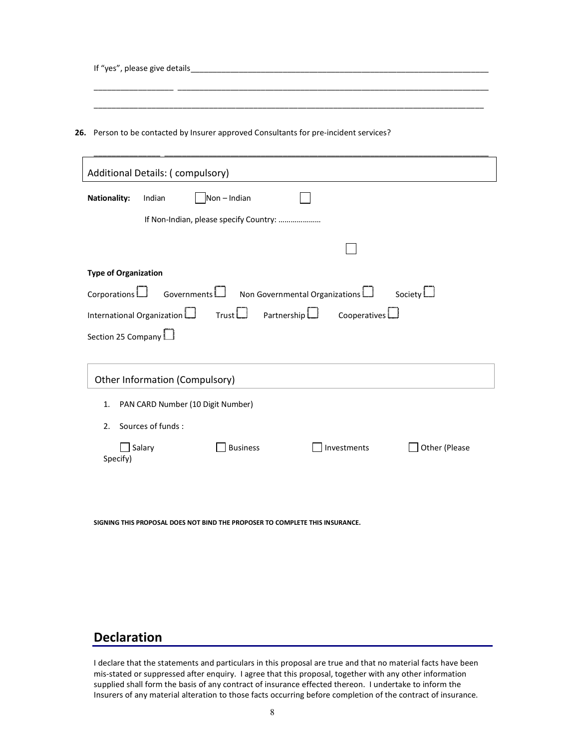If "yes", please give details

26. Person to be contacted by Insurer approved Consultants for pre-incident services?

| Additional Details: (compulsory)                                                                                                                                                               |  |  |  |  |  |
|------------------------------------------------------------------------------------------------------------------------------------------------------------------------------------------------|--|--|--|--|--|
| <b>Nationality:</b><br>Indian<br>Non-Indian                                                                                                                                                    |  |  |  |  |  |
| If Non-Indian, please specify Country:                                                                                                                                                         |  |  |  |  |  |
|                                                                                                                                                                                                |  |  |  |  |  |
| <b>Type of Organization</b>                                                                                                                                                                    |  |  |  |  |  |
| Governments   Non Governmental Organizations  <br>Society $\Box$<br>Corporations $\Box$<br>International Organization $\Box$ Trust $\Box$<br>Cooperatives<br>Partnership<br>Section 25 Company |  |  |  |  |  |
|                                                                                                                                                                                                |  |  |  |  |  |
| Other Information (Compulsory)                                                                                                                                                                 |  |  |  |  |  |
| PAN CARD Number (10 Digit Number)<br>1.                                                                                                                                                        |  |  |  |  |  |
| Sources of funds:<br>2.                                                                                                                                                                        |  |  |  |  |  |
| <b>Business</b><br>Investments<br>Other (Please<br>Salary<br>Specify)                                                                                                                          |  |  |  |  |  |
|                                                                                                                                                                                                |  |  |  |  |  |
|                                                                                                                                                                                                |  |  |  |  |  |

\_\_\_\_\_\_\_\_\_\_\_\_\_\_\_\_\_\_ \_\_\_\_\_\_\_\_\_\_\_\_\_\_\_\_\_\_\_\_\_\_\_\_\_\_\_\_\_\_\_\_\_\_\_\_\_\_\_\_\_\_\_\_\_\_\_\_\_\_\_\_\_\_\_\_\_\_\_\_\_\_\_\_\_\_\_\_\_\_\_

\_\_\_\_\_\_\_\_\_\_\_\_\_\_\_\_\_\_\_\_\_\_\_\_\_\_\_\_\_\_\_\_\_\_\_\_\_\_\_\_\_\_\_\_\_\_\_\_\_\_\_\_\_\_\_\_\_\_\_\_\_\_\_\_\_\_\_\_\_\_\_\_\_\_\_\_\_\_\_\_\_\_\_\_\_\_\_\_

SIGNING THIS PROPOSAL DOES NOT BIND THE PROPOSER TO COMPLETE THIS INSURANCE.

## Declaration

I declare that the statements and particulars in this proposal are true and that no material facts have been mis-stated or suppressed after enquiry. I agree that this proposal, together with any other information supplied shall form the basis of any contract of insurance effected thereon. I undertake to inform the Insurers of any material alteration to those facts occurring before completion of the contract of insurance.